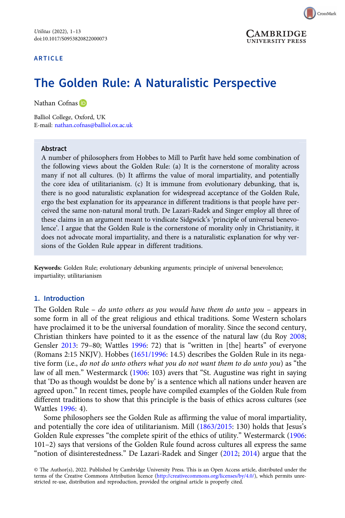



# The Golden Rule: A Naturalistic Perspective

Nathan Cofnas ID

Balliol College, Oxford, UK E-mail: [nathan.cofnas@balliol.ox.ac.uk](mailto:nathan.cofnas@balliol.ox.ac.uk)

#### Abstract

A number of philosophers from Hobbes to Mill to Parfit have held some combination of the following views about the Golden Rule: (a) It is the cornerstone of morality across many if not all cultures. (b) It affirms the value of moral impartiality, and potentially the core idea of utilitarianism. (c) It is immune from evolutionary debunking, that is, there is no good naturalistic explanation for widespread acceptance of the Golden Rule, ergo the best explanation for its appearance in different traditions is that people have perceived the same non-natural moral truth. De Lazari-Radek and Singer employ all three of these claims in an argument meant to vindicate Sidgwick's 'principle of universal benevolence'. I argue that the Golden Rule is the cornerstone of morality only in Christianity, it does not advocate moral impartiality, and there is a naturalistic explanation for why versions of the Golden Rule appear in different traditions.

Keywords: Golden Rule; evolutionary debunking arguments; principle of universal benevolence; impartiality; utilitarianism

#### 1. Introduction

The Golden Rule – do unto others as you would have them do unto you – appears in some form in all of the great religious and ethical traditions. Some Western scholars have proclaimed it to be the universal foundation of morality. Since the second century, Christian thinkers have pointed to it as the essence of the natural law (du Roy [2008;](#page-11-0) Gensler [2013](#page-11-0): 79–80; Wattles [1996:](#page-12-0) 72) that is "written in [the] hearts" of everyone (Romans 2:15 NKJV). Hobbes ([1651/1996](#page-11-0): 14.5) describes the Golden Rule in its negative form (i.e., do not do unto others what you do not want them to do unto you) as "the law of all men." Westermarck [\(1906](#page-12-0): 103) avers that "St. Augustine was right in saying that 'Do as though wouldst be done by' is a sentence which all nations under heaven are agreed upon." In recent times, people have compiled examples of the Golden Rule from different traditions to show that this principle is the basis of ethics across cultures (see Wattles [1996:](#page-12-0) 4).

Some philosophers see the Golden Rule as affirming the value of moral impartiality, and potentially the core idea of utilitarianism. Mill [\(1863/2015:](#page-12-0) 130) holds that Jesus's Golden Rule expresses "the complete spirit of the ethics of utility." Westermarck ([1906:](#page-12-0) 101–2) says that versions of the Golden Rule found across cultures all express the same "notion of disinterestedness." De Lazari-Radek and Singer [\(2012](#page-11-0); [2014](#page-11-0)) argue that the

© The Author(s), 2022. Published by Cambridge University Press. This is an Open Access article, distributed under the terms of the Creative Commons Attribution licence ([http://creativecommons.org/licenses/by/4.0/\)](http://creativecommons.org/licenses/by/4.0/), which permits unrestricted re-use, distribution and reproduction, provided the original article is properly cited.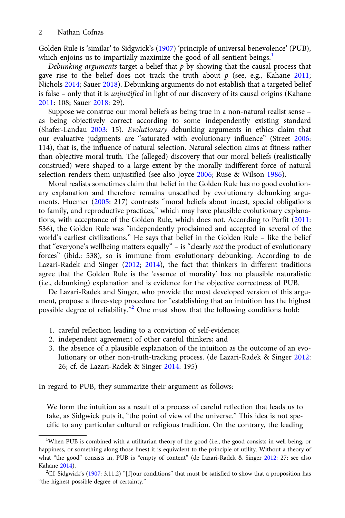Golden Rule is 'similar' to Sidgwick's ([1907\)](#page-12-0) 'principle of universal benevolence' (PUB), which enjoins us to impartially maximize the good of all sentient beings.<sup>1</sup>

Debunking arguments target a belief that  $p$  by showing that the causal process that gave rise to the belief does not track the truth about  $p$  (see, e.g., Kahane [2011](#page-11-0); Nichols [2014](#page-12-0); Sauer [2018](#page-12-0)). Debunking arguments do not establish that a targeted belief is false – only that it is unjustified in light of our discovery of its causal origins (Kahane [2011:](#page-11-0) 108; Sauer [2018](#page-12-0): 29).

Suppose we construe our moral beliefs as being true in a non-natural realist sense – as being objectively correct according to some independently existing standard (Shafer-Landau [2003](#page-12-0): 15). Evolutionary debunking arguments in ethics claim that our evaluative judgments are "saturated with evolutionary influence" (Street [2006](#page-12-0): 114), that is, the influence of natural selection. Natural selection aims at fitness rather than objective moral truth. The (alleged) discovery that our moral beliefs (realistically construed) were shaped to a large extent by the morally indifferent force of natural selection renders them unjustified (see also Joyce [2006;](#page-11-0) Ruse & Wilson [1986](#page-12-0)).

Moral realists sometimes claim that belief in the Golden Rule has no good evolutionary explanation and therefore remains unscathed by evolutionary debunking arguments. Huemer ([2005](#page-11-0): 217) contrasts "moral beliefs about incest, special obligations to family, and reproductive practices," which may have plausible evolutionary explanations, with acceptance of the Golden Rule, which does not. According to Parfit [\(2011](#page-12-0): 536), the Golden Rule was "independently proclaimed and accepted in several of the world's earliest civilizations." He says that belief in the Golden Rule – like the belief that "everyone's wellbeing matters equally" – is "clearly not the product of evolutionary forces" (ibid.: 538), so is immune from evolutionary debunking. According to de Lazari-Radek and Singer ([2012;](#page-11-0) [2014\)](#page-11-0), the fact that thinkers in different traditions agree that the Golden Rule is the 'essence of morality' has no plausible naturalistic (i.e., debunking) explanation and is evidence for the objective correctness of PUB.

De Lazari-Radek and Singer, who provide the most developed version of this argument, propose a three-step procedure for "establishing that an intuition has the highest possible degree of reliability."<sup>2</sup> One must show that the following conditions hold:

- 1. careful reflection leading to a conviction of self-evidence;
- 2. independent agreement of other careful thinkers; and
- 3. the absence of a plausible explanation of the intuition as the outcome of an evolutionary or other non-truth-tracking process. (de Lazari-Radek & Singer [2012](#page-11-0): 26; cf. de Lazari-Radek & Singer [2014:](#page-11-0) 195)

In regard to PUB, they summarize their argument as follows:

We form the intuition as a result of a process of careful reflection that leads us to take, as Sidgwick puts it, "the point of view of the universe." This idea is not specific to any particular cultural or religious tradition. On the contrary, the leading

<sup>&</sup>lt;sup>1</sup>When PUB is combined with a utilitarian theory of the good (i.e., the good consists in well-being, or happiness, or something along those lines) it is equivalent to the principle of utility. Without a theory of what "the good" consists in, PUB is "empty of content" (de Lazari-Radek & Singer [2012](#page-11-0): 27; see also Kahane [2014](#page-12-0)).

<sup>&</sup>lt;sup>2</sup>Cf. Sidgwick's [\(1907](#page-12-0): 3.11.2) "[f]our conditions" that must be satisfied to show that a proposition has "the highest possible degree of certainty."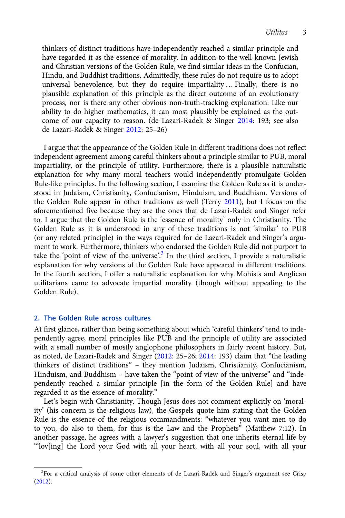thinkers of distinct traditions have independently reached a similar principle and have regarded it as the essence of morality. In addition to the well-known Jewish and Christian versions of the Golden Rule, we find similar ideas in the Confucian, Hindu, and Buddhist traditions. Admittedly, these rules do not require us to adopt universal benevolence, but they do require impartiality … Finally, there is no plausible explanation of this principle as the direct outcome of an evolutionary process, nor is there any other obvious non-truth-tracking explanation. Like our ability to do higher mathematics, it can most plausibly be explained as the outcome of our capacity to reason. (de Lazari-Radek & Singer [2014:](#page-11-0) 193; see also de Lazari-Radek & Singer [2012](#page-11-0): 25–26)

I argue that the appearance of the Golden Rule in different traditions does not reflect independent agreement among careful thinkers about a principle similar to PUB, moral impartiality, or the principle of utility. Furthermore, there is a plausible naturalistic explanation for why many moral teachers would independently promulgate Golden Rule-like principles. In the following section, I examine the Golden Rule as it is understood in Judaism, Christianity, Confucianism, Hinduism, and Buddhism. Versions of the Golden Rule appear in other traditions as well (Terry [2011\)](#page-12-0), but I focus on the aforementioned five because they are the ones that de Lazari-Radek and Singer refer to. I argue that the Golden Rule is the 'essence of morality' only in Christianity. The Golden Rule as it is understood in any of these traditions is not 'similar' to PUB (or any related principle) in the ways required for de Lazari-Radek and Singer's argument to work. Furthermore, thinkers who endorsed the Golden Rule did not purport to take the 'point of view of the universe'. <sup>3</sup> In the third section, I provide a naturalistic explanation for why versions of the Golden Rule have appeared in different traditions. In the fourth section, I offer a naturalistic explanation for why Mohists and Anglican utilitarians came to advocate impartial morality (though without appealing to the Golden Rule).

#### 2. The Golden Rule across cultures

At first glance, rather than being something about which 'careful thinkers' tend to independently agree, moral principles like PUB and the principle of utility are associated with a small number of mostly anglophone philosophers in fairly recent history. But, as noted, de Lazari-Radek and Singer [\(2012:](#page-11-0) 25–26; [2014](#page-11-0): 193) claim that "the leading thinkers of distinct traditions" – they mention Judaism, Christianity, Confucianism, Hinduism, and Buddhism – have taken the "point of view of the universe" and "independently reached a similar principle [in the form of the Golden Rule] and have regarded it as the essence of morality."

Let's begin with Christianity. Though Jesus does not comment explicitly on 'morality' (his concern is the religious law), the Gospels quote him stating that the Golden Rule is the essence of the religious commandments: "whatever you want men to do to you, do also to them, for this is the Law and the Prophets" (Matthew 7:12). In another passage, he agrees with a lawyer's suggestion that one inherits eternal life by "'lov[ing] the Lord your God with all your heart, with all your soul, with all your

<sup>&</sup>lt;sup>3</sup>For a critical analysis of some other elements of de Lazari-Radek and Singer's argument see Crisp [\(2012\)](#page-11-0).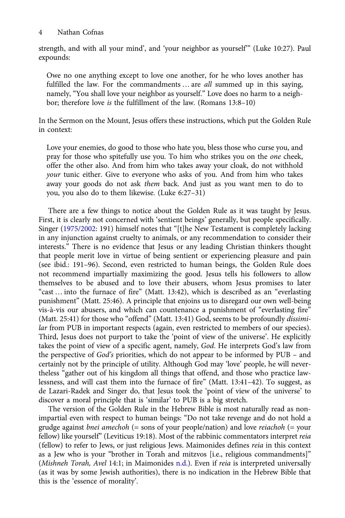strength, and with all your mind', and 'your neighbor as yourself'" (Luke 10:27). Paul expounds:

Owe no one anything except to love one another, for he who loves another has fulfilled the law. For the commandments ... are all summed up in this saying, namely, "You shall love your neighbor as yourself." Love does no harm to a neighbor; therefore love is the fulfillment of the law. (Romans 13:8–10)

In the Sermon on the Mount, Jesus offers these instructions, which put the Golden Rule in context:

Love your enemies, do good to those who hate you, bless those who curse you, and pray for those who spitefully use you. To him who strikes you on the one cheek, offer the other also. And from him who takes away your cloak, do not withhold your tunic either. Give to everyone who asks of you. And from him who takes away your goods do not ask them back. And just as you want men to do to you, you also do to them likewise. (Luke 6:27–31)

There are a few things to notice about the Golden Rule as it was taught by Jesus. First, it is clearly not concerned with 'sentient beings' generally, but people specifically. Singer ([1975/2002](#page-12-0): 191) himself notes that "[t]he New Testament is completely lacking in any injunction against cruelty to animals, or any recommendation to consider their interests." There is no evidence that Jesus or any leading Christian thinkers thought that people merit love in virtue of being sentient or experiencing pleasure and pain (see ibid.: 191–96). Second, even restricted to human beings, the Golden Rule does not recommend impartially maximizing the good. Jesus tells his followers to allow themselves to be abused and to love their abusers, whom Jesus promises to later "cast … into the furnace of fire" (Matt. 13:42), which is described as an "everlasting punishment" (Matt. 25:46). A principle that enjoins us to disregard our own well-being vis-à-vis our abusers, and which can countenance a punishment of "everlasting fire" (Matt. 25:41) for those who "offend" (Matt. 13:41) God, seems to be profoundly dissimilar from PUB in important respects (again, even restricted to members of our species). Third, Jesus does not purport to take the 'point of view of the universe'. He explicitly takes the point of view of a specific agent, namely, God. He interprets God's law from the perspective of God's priorities, which do not appear to be informed by PUB – and certainly not by the principle of utility. Although God may 'love' people, he will nevertheless "gather out of his kingdom all things that offend, and those who practice lawlessness, and will cast them into the furnace of fire" (Matt. 13:41–42). To suggest, as de Lazari-Radek and Singer do, that Jesus took the 'point of view of the universe' to discover a moral principle that is 'similar' to PUB is a big stretch.

The version of the Golden Rule in the Hebrew Bible is most naturally read as nonimpartial even with respect to human beings: "Do not take revenge and do not hold a grudge against *bnei amechoh* (= sons of your people/nation) and love *reiachoh* (= your fellow) like yourself" (Leviticus 19:18). Most of the rabbinic commentators interpret reia (fellow) to refer to Jews, or just religious Jews. Maimonides defines reia in this context as a Jew who is your "brother in Torah and mitzvos [i.e., religious commandments]" (Mishneh Torah, Avel 14:1; in Maimonides [n.d.](#page-12-0)). Even if reia is interpreted universally (as it was by some Jewish authorities), there is no indication in the Hebrew Bible that this is the 'essence of morality'.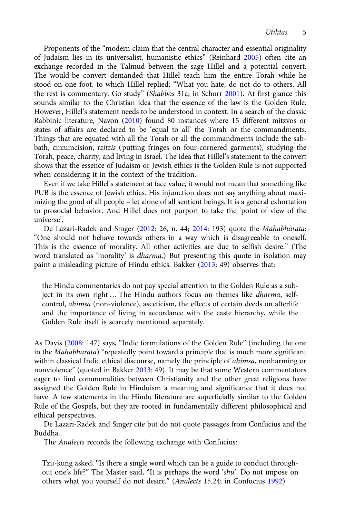Proponents of the "modern claim that the central character and essential originality of Judaism lies in its universalist, humanistic ethics" (Reinhard [2005](#page-12-0)) often cite an exchange recorded in the Talmud between the sage Hillel and a potential convert. The would-be convert demanded that Hillel teach him the entire Torah while he stood on one foot, to which Hillel replied: "What you hate, do not do to others. All the rest is commentary. Go study" (Shabbos 31a; in Schorr [2001\)](#page-12-0). At first glance this sounds similar to the Christian idea that the essence of the law is the Golden Rule. However, Hillel's statement needs to be understood in context. In a search of the classic Rabbinic literature, Navon [\(2010](#page-12-0)) found 80 instances where 15 different mitzvos or states of affairs are declared to be 'equal to all' the Torah or the commandments. Things that are equated with all the Torah or all the commandments include the sabbath, circumcision, tzitzis (putting fringes on four-cornered garments), studying the Torah, peace, charity, and living in Israel. The idea that Hillel's statement to the convert shows that the essence of Judaism or Jewish ethics is the Golden Rule is not supported when considering it in the context of the tradition.

Even if we take Hillel's statement at face value, it would not mean that something like PUB is the essence of Jewish ethics. His injunction does not say anything about maximizing the good of all people – let alone of all sentient beings. It is a general exhortation to prosocial behavior. And Hillel does not purport to take the 'point of view of the universe'.

De Lazari-Radek and Singer [\(2012](#page-11-0): 26, n. 44; [2014](#page-11-0): 193) quote the Mahabharata: "One should not behave towards others in a way which is disagreeable to oneself. This is the essence of morality. All other activities are due to selfish desire." (The word translated as 'morality' is dharma.) But presenting this quote in isolation may paint a misleading picture of Hindu ethics. Bakker [\(2013:](#page-11-0) 49) observes that:

the Hindu commentaries do not pay special attention to the Golden Rule as a subject in its own right ... The Hindu authors focus on themes like *dharma*, selfcontrol, ahimsa (non-violence), asceticism, the effects of certain deeds on afterlife and the importance of living in accordance with the caste hierarchy, while the Golden Rule itself is scarcely mentioned separately.

As Davis ([2008:](#page-11-0) 147) says, "Indic formulations of the Golden Rule" (including the one in the Mahabharata) "repeatedly point toward a principle that is much more significant within classical Indic ethical discourse, namely the principle of *ahimsa*, nonharming or nonviolence" (quoted in Bakker [2013](#page-11-0): 49). It may be that some Western commentators eager to find commonalities between Christianity and the other great religions have assigned the Golden Rule in Hinduism a meaning and significance that it does not have. A few statements in the Hindu literature are superficially similar to the Golden Rule of the Gospels, but they are rooted in fundamentally different philosophical and ethical perspectives.

De Lazari-Radek and Singer cite but do not quote passages from Confucius and the Buddha.

The Analects records the following exchange with Confucius:

Tzu-kung asked, "Is there a single word which can be a guide to conduct throughout one's life?" The Master said, "It is perhaps the word 'shu'. Do not impose on others what you yourself do not desire." (Analects 15.24; in Confucius [1992\)](#page-11-0)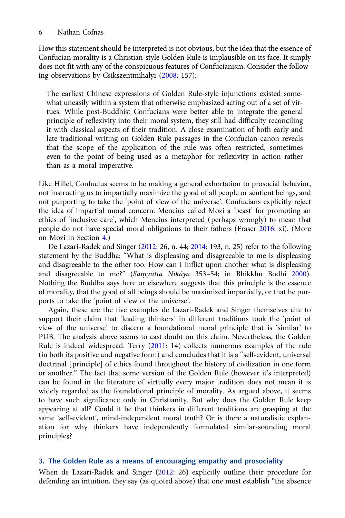How this statement should be interpreted is not obvious, but the idea that the essence of Confucian morality is a Christian-style Golden Rule is implausible on its face. It simply does not fit with any of the conspicuous features of Confucianism. Consider the following observations by Csikszentmihalyi ([2008:](#page-11-0) 157):

The earliest Chinese expressions of Golden Rule-style injunctions existed somewhat uneasily within a system that otherwise emphasized acting out of a set of virtues. While post-Buddhist Confucians were better able to integrate the general principle of reflexivity into their moral system, they still had difficulty reconciling it with classical aspects of their tradition. A close examination of both early and late traditional writing on Golden Rule passages in the Confucian canon reveals that the scope of the application of the rule was often restricted, sometimes even to the point of being used as a metaphor for reflexivity in action rather than as a moral imperative.

Like Hillel, Confucius seems to be making a general exhortation to prosocial behavior, not instructing us to impartially maximize the good of all people or sentient beings, and not purporting to take the 'point of view of the universe'. Confucians explicitly reject the idea of impartial moral concern. Mencius called Mozi a 'beast' for promoting an ethics of 'inclusive care', which Mencius interpreted (perhaps wrongly) to mean that people do not have special moral obligations to their fathers (Fraser [2016](#page-11-0): xi). (More on Mozi in Section [4](#page-7-0).)

De Lazari-Radek and Singer [\(2012:](#page-11-0) 26, n. 44; [2014:](#page-11-0) 193, n. 25) refer to the following statement by the Buddha: "What is displeasing and disagreeable to me is displeasing and disagreeable to the other too. How can I inflict upon another what is displeasing and disagreeable to me?" (Samyutta Nikāya 353-54; in Bhikkhu Bodhi [2000\)](#page-11-0). Nothing the Buddha says here or elsewhere suggests that this principle is the essence of morality, that the good of all beings should be maximized impartially, or that he purports to take the 'point of view of the universe'.

Again, these are the five examples de Lazari-Radek and Singer themselves cite to support their claim that 'leading thinkers' in different traditions took the 'point of view of the universe' to discern a foundational moral principle that is 'similar' to PUB. The analysis above seems to cast doubt on this claim. Nevertheless, the Golden Rule is indeed widespread. Terry [\(2011](#page-12-0): 14) collects numerous examples of the rule (in both its positive and negative form) and concludes that it is a "self-evident, universal doctrinal [principle] of ethics found throughout the history of civilization in one form or another." The fact that some version of the Golden Rule (however it's interpreted) can be found in the literature of virtually every major tradition does not mean it is widely regarded as the foundational principle of morality. As argued above, it seems to have such significance only in Christianity. But why does the Golden Rule keep appearing at all? Could it be that thinkers in different traditions are grasping at the same 'self-evident', mind-independent moral truth? Or is there a naturalistic explanation for why thinkers have independently formulated similar-sounding moral principles?

## 3. The Golden Rule as a means of encouraging empathy and prosociality

When de Lazari-Radek and Singer ([2012](#page-11-0): 26) explicitly outline their procedure for defending an intuition, they say (as quoted above) that one must establish "the absence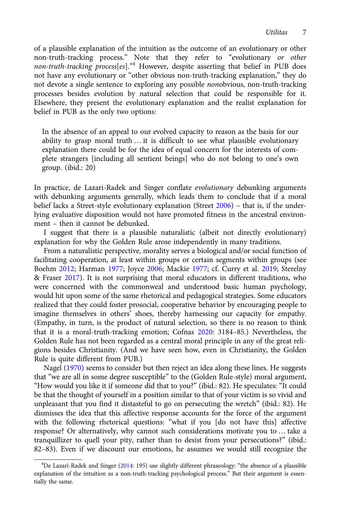of a plausible explanation of the intuition as the outcome of an evolutionary or other non-truth-tracking process." Note that they refer to "evolutionary or other non-truth-tracking process[es]."<sup>4</sup> However, despite asserting that belief in PUB does not have any evolutionary or "other obvious non-truth-tracking explanation," they do not devote a single sentence to exploring any possible nonobvious, non-truth-tracking processes besides evolution by natural selection that could be responsible for it. Elsewhere, they present the evolutionary explanation and the realist explanation for belief in PUB as the only two options:

In the absence of an appeal to our evolved capacity to reason as the basis for our ability to grasp moral truth … it is difficult to see what plausible evolutionary explanation there could be for the idea of equal concern for the interests of complete strangers [including all sentient beings] who do not belong to one's own group. (ibid.: 20)

In practice, de Lazari-Radek and Singer conflate evolutionary debunking arguments with debunking arguments generally, which leads them to conclude that if a moral belief lacks a Street-style evolutionary explanation (Street [2006](#page-12-0)) – that is, if the underlying evaluative disposition would not have promoted fitness in the ancestral environment – then it cannot be debunked.

I suggest that there is a plausible naturalistic (albeit not directly evolutionary) explanation for why the Golden Rule arose independently in many traditions.

From a naturalistic perspective, morality serves a biological and/or social function of facilitating cooperation, at least within groups or certain segments within groups (see Boehm [2012;](#page-11-0) Harman [1977;](#page-11-0) Joyce [2006](#page-11-0); Mackie [1977;](#page-12-0) cf. Curry et al. [2019;](#page-11-0) Sterelny & Fraser [2017](#page-12-0)). It is not surprising that moral educators in different traditions, who were concerned with the commonweal and understood basic human psychology, would hit upon some of the same rhetorical and pedagogical strategies. Some educators realized that they could foster prosocial, cooperative behavior by encouraging people to imagine themselves in others' shoes, thereby harnessing our capacity for empathy. (Empathy, in turn, is the product of natural selection, so there is no reason to think that it is a moral-truth-tracking emotion; Cofnas [2020:](#page-11-0) 3184–85.) Nevertheless, the Golden Rule has not been regarded as a central moral principle in any of the great religions besides Christianity. (And we have seen how, even in Christianity, the Golden Rule is quite different from PUB.)

Nagel ([1970\)](#page-12-0) seems to consider but then reject an idea along these lines. He suggests that "we are all in some degree susceptible" to the (Golden Rule-style) moral argument, "How would you like it if someone did that to you?" (ibid.: 82). He speculates: "It could be that the thought of yourself in a position similar to that of your victim is so vivid and unpleasant that you find it distasteful to go on persecuting the wretch" (ibid.: 82). He dismisses the idea that this affective response accounts for the force of the argument with the following rhetorical questions: "what if you [do not have this] affective response? Or alternatively, why cannot such considerations motivate you to … take a tranquillizer to quell your pity, rather than to desist from your persecutions?" (ibid.: 82–83). Even if we discount our emotions, he assumes we would still recognize the

<sup>&</sup>lt;sup>4</sup>De Lazari-Radek and Singer [\(2014:](#page-11-0) 195) use slightly different phraseology: "the absence of a plausible explanation of the intuition as a non-truth-tracking psychological process." But their argument is essentially the same.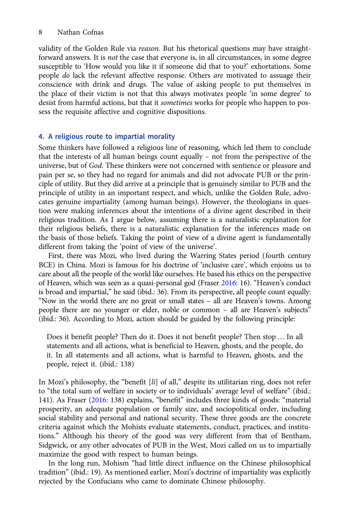<span id="page-7-0"></span>validity of the Golden Rule via reason. But his rhetorical questions may have straightforward answers. It is not the case that everyone is, in all circumstances, in some degree susceptible to 'How would you like it if someone did that to you?' exhortations. Some people do lack the relevant affective response. Others are motivated to assuage their conscience with drink and drugs. The value of asking people to put themselves in the place of their victim is not that this always motivates people 'in some degree' to desist from harmful actions, but that it sometimes works for people who happen to possess the requisite affective and cognitive dispositions.

## 4. A religious route to impartial morality

Some thinkers have followed a religious line of reasoning, which led them to conclude that the interests of all human beings count equally – not from the perspective of the universe, but of God. These thinkers were not concerned with sentience or pleasure and pain per se, so they had no regard for animals and did not advocate PUB or the principle of utility. But they did arrive at a principle that is genuinely similar to PUB and the principle of utility in an important respect, and which, unlike the Golden Rule, advocates genuine impartiality (among human beings). However, the theologians in question were making inferences about the intentions of a divine agent described in their religious tradition. As I argue below, assuming there is a naturalistic explanation for their religious beliefs, there is a naturalistic explanation for the inferences made on the basis of those beliefs. Taking the point of view of a divine agent is fundamentally different from taking the 'point of view of the universe'.

First, there was Mozi, who lived during the Warring States period (fourth century BCE) in China. Mozi is famous for his doctrine of 'inclusive care', which enjoins us to care about all the people of the world like ourselves. He based his ethics on the perspective of Heaven, which was seen as a quasi-personal god (Fraser [2016:](#page-11-0) 16). "Heaven's conduct is broad and impartial," he said (ibid.: 36). From its perspective, all people count equally: "Now in the world there are no great or small states – all are Heaven's towns. Among people there are no younger or elder, noble or common – all are Heaven's subjects" (ibid.: 36). According to Mozi, action should be guided by the following principle:

Does it benefit people? Then do it. Does it not benefit people? Then stop … In all statements and all actions, what is beneficial to Heaven, ghosts, and the people, do it. In all statements and all actions, what is harmful to Heaven, ghosts, and the people, reject it. (ibid.: 138)

In Mozi's philosophy, the "benefit [li] of all," despite its utilitarian ring, does not refer to "the total sum of welfare in society or to individuals' average level of welfare" (ibid.: 141). As Fraser [\(2016:](#page-11-0) 138) explains, "benefit" includes three kinds of goods: "material prosperity, an adequate population or family size, and sociopolitical order, including social stability and personal and national security. These three goods are the concrete criteria against which the Mohists evaluate statements, conduct, practices, and institutions." Although his theory of the good was very different from that of Bentham, Sidgwick, or any other advocates of PUB in the West, Mozi called on us to impartially maximize the good with respect to human beings.

In the long run, Mohism "had little direct influence on the Chinese philosophical tradition" (ibid.: 19). As mentioned earlier, Mozi's doctrine of impartiality was explicitly rejected by the Confucians who came to dominate Chinese philosophy.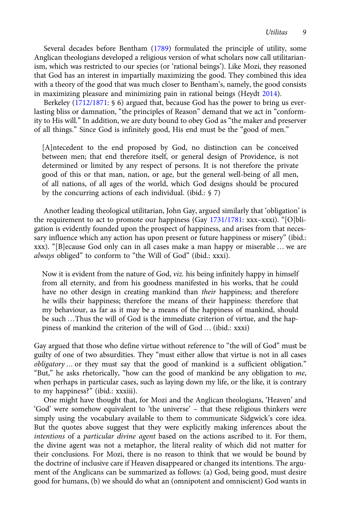Several decades before Bentham ([1789\)](#page-11-0) formulated the principle of utility, some Anglican theologians developed a religious version of what scholars now call utilitarianism, which was restricted to our species (or 'rational beings'). Like Mozi, they reasoned that God has an interest in impartially maximizing the good. They combined this idea with a theory of the good that was much closer to Bentham's, namely, the good consists in maximizing pleasure and minimizing pain in rational beings (Heydt [2014](#page-11-0)).

Berkeley ([1712/1871](#page-11-0): § 6) argued that, because God has the power to bring us everlasting bliss or damnation, "the principles of Reason" demand that we act in "conformity to His will." In addition, we are duty bound to obey God as "the maker and preserver of all things." Since God is infinitely good, His end must be the "good of men."

[A]ntecedent to the end proposed by God, no distinction can be conceived between men; that end therefore itself, or general design of Providence, is not determined or limited by any respect of persons. It is not therefore the private good of this or that man, nation, or age, but the general well-being of all men, of all nations, of all ages of the world, which God designs should be procured by the concurring actions of each individual. (ibid.: § 7)

Another leading theological utilitarian, John Gay, argued similarly that 'obligation' is the requirement to act to promote our happiness (Gay [1731/1781:](#page-11-0) xxx–xxxi). "[O]bligation is evidently founded upon the prospect of happiness, and arises from that necessary influence which any action has upon present or future happiness or misery" (ibid.: xxx). "[B]ecause God only can in all cases make a man happy or miserable … we are always obliged" to conform to "the Will of God" (ibid.: xxxi).

Now it is evident from the nature of God, viz. his being infinitely happy in himself from all eternity, and from his goodness manifested in his works, that he could have no other design in creating mankind than *their* happiness; and therefore he wills their happiness; therefore the means of their happiness: therefore that my behaviour, as far as it may be a means of the happiness of mankind, should be such …Thus the will of God is the immediate criterion of virtue, and the happiness of mankind the criterion of the will of God … (ibid.: xxxi)

Gay argued that those who define virtue without reference to "the will of God" must be guilty of one of two absurdities. They "must either allow that virtue is not in all cases obligatory … or they must say that the good of mankind is a sufficient obligation." "But," he asks rhetorically, "how can the good of mankind be any obligation to me, when perhaps in particular cases, such as laying down my life, or the like, it is contrary to my happiness?" (ibid.: xxxiii).

One might have thought that, for Mozi and the Anglican theologians, 'Heaven' and 'God' were somehow equivalent to 'the universe' – that these religious thinkers were simply using the vocabulary available to them to communicate Sidgwick's core idea. But the quotes above suggest that they were explicitly making inferences about the intentions of a particular divine agent based on the actions ascribed to it. For them, the divine agent was not a metaphor, the literal reality of which did not matter for their conclusions. For Mozi, there is no reason to think that we would be bound by the doctrine of inclusive care if Heaven disappeared or changed its intentions. The argument of the Anglicans can be summarized as follows: (a) God, being good, must desire good for humans, (b) we should do what an (omnipotent and omniscient) God wants in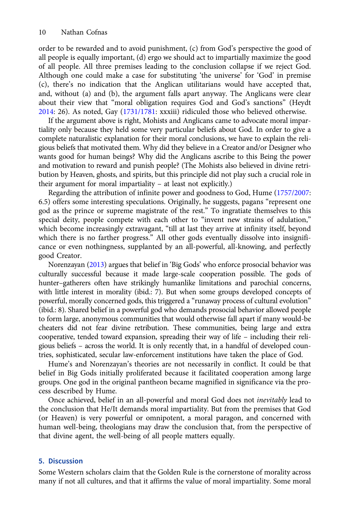order to be rewarded and to avoid punishment, (c) from God's perspective the good of all people is equally important, (d) ergo we should act to impartially maximize the good of all people. All three premises leading to the conclusion collapse if we reject God. Although one could make a case for substituting 'the universe' for 'God' in premise (c), there's no indication that the Anglican utilitarians would have accepted that, and, without (a) and (b), the argument falls apart anyway. The Anglicans were clear about their view that "moral obligation requires God and God's sanctions" (Heydt [2014:](#page-11-0) 26). As noted, Gay ([1731/1781](#page-11-0): xxxiii) ridiculed those who believed otherwise.

If the argument above is right, Mohists and Anglicans came to advocate moral impartiality only because they held some very particular beliefs about God. In order to give a complete naturalistic explanation for their moral conclusions, we have to explain the religious beliefs that motivated them. Why did they believe in a Creator and/or Designer who wants good for human beings? Why did the Anglicans ascribe to this Being the power and motivation to reward and punish people? (The Mohists also believed in divine retribution by Heaven, ghosts, and spirits, but this principle did not play such a crucial role in their argument for moral impartiality – at least not explicitly.)

Regarding the attribution of infinite power and goodness to God, Hume ([1757/2007](#page-11-0): 6.5) offers some interesting speculations. Originally, he suggests, pagans "represent one god as the prince or supreme magistrate of the rest." To ingratiate themselves to this special deity, people compete with each other to "invent new strains of adulation," which become increasingly extravagant, "till at last they arrive at infinity itself, beyond which there is no farther progress." All other gods eventually dissolve into insignificance or even nothingness, supplanted by an all-powerful, all-knowing, and perfectly good Creator.

Norenzayan ([2013\)](#page-12-0) argues that belief in 'Big Gods' who enforce prosocial behavior was culturally successful because it made large-scale cooperation possible. The gods of hunter–gatherers often have strikingly humanlike limitations and parochial concerns, with little interest in morality (ibid.: 7). But when some groups developed concepts of powerful, morally concerned gods, this triggered a "runaway process of cultural evolution" (ibid.: 8). Shared belief in a powerful god who demands prosocial behavior allowed people to form large, anonymous communities that would otherwise fall apart if many would-be cheaters did not fear divine retribution. These communities, being large and extra cooperative, tended toward expansion, spreading their way of life – including their religious beliefs – across the world. It is only recently that, in a handful of developed countries, sophisticated, secular law-enforcement institutions have taken the place of God.

Hume's and Norenzayan's theories are not necessarily in conflict. It could be that belief in Big Gods initially proliferated because it facilitated cooperation among large groups. One god in the original pantheon became magnified in significance via the process described by Hume.

Once achieved, belief in an all-powerful and moral God does not inevitably lead to the conclusion that He/It demands moral impartiality. But from the premises that God (or Heaven) is very powerful or omnipotent, a moral paragon, and concerned with human well-being, theologians may draw the conclusion that, from the perspective of that divine agent, the well-being of all people matters equally.

## 5. Discussion

Some Western scholars claim that the Golden Rule is the cornerstone of morality across many if not all cultures, and that it affirms the value of moral impartiality. Some moral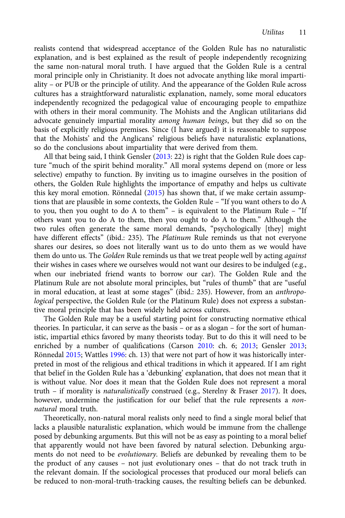realists contend that widespread acceptance of the Golden Rule has no naturalistic explanation, and is best explained as the result of people independently recognizing the same non-natural moral truth. I have argued that the Golden Rule is a central moral principle only in Christianity. It does not advocate anything like moral impartiality – or PUB or the principle of utility. And the appearance of the Golden Rule across cultures has a straightforward naturalistic explanation, namely, some moral educators independently recognized the pedagogical value of encouraging people to empathize with others in their moral community. The Mohists and the Anglican utilitarians did advocate genuinely impartial morality among human beings, but they did so on the basis of explicitly religious premises. Since (I have argued) it is reasonable to suppose that the Mohists' and the Anglicans' religious beliefs have naturalistic explanations, so do the conclusions about impartiality that were derived from them.

All that being said, I think Gensler [\(2013](#page-11-0): 22) is right that the Golden Rule does capture "much of the spirit behind morality." All moral systems depend on (more or less selective) empathy to function. By inviting us to imagine ourselves in the position of others, the Golden Rule highlights the importance of empathy and helps us cultivate this key moral emotion. Rönnedal ([2015](#page-12-0)) has shown that, if we make certain assumptions that are plausible in some contexts, the Golden Rule – "If you want others to do A to you, then you ought to do A to them" – is equivalent to the Platinum Rule – "If others want you to do A to them, then you ought to do A to them." Although the two rules often generate the same moral demands, "psychologically [they] might have different effects" (ibid.: 235). The Platinum Rule reminds us that not everyone shares our desires, so does not literally want us to do unto them as we would have them do unto us. The Golden Rule reminds us that we treat people well by acting against their wishes in cases where we ourselves would not want our desires to be indulged (e.g., when our inebriated friend wants to borrow our car). The Golden Rule and the Platinum Rule are not absolute moral principles, but "rules of thumb" that are "useful in moral education, at least at some stages" (ibid.: 235). However, from an anthropological perspective, the Golden Rule (or the Platinum Rule) does not express a substantive moral principle that has been widely held across cultures.

The Golden Rule may be a useful starting point for constructing normative ethical theories. In particular, it can serve as the basis – or as a slogan – for the sort of humanistic, impartial ethics favored by many theorists today. But to do this it will need to be enriched by a number of qualifications (Carson [2010:](#page-11-0) ch. 6; [2013;](#page-11-0) Gensler [2013;](#page-11-0) Rönnedal [2015;](#page-12-0) Wattles [1996](#page-12-0): ch. 13) that were not part of how it was historically interpreted in most of the religious and ethical traditions in which it appeared. If I am right that belief in the Golden Rule has a 'debunking' explanation, that does not mean that it is without value. Nor does it mean that the Golden Rule does not represent a moral truth – if morality is naturalistically construed (e.g., Sterelny & Fraser [2017](#page-12-0)). It does, however, undermine the justification for our belief that the rule represents a nonnatural moral truth.

Theoretically, non-natural moral realists only need to find a single moral belief that lacks a plausible naturalistic explanation, which would be immune from the challenge posed by debunking arguments. But this will not be as easy as pointing to a moral belief that apparently would not have been favored by natural selection. Debunking arguments do not need to be evolutionary. Beliefs are debunked by revealing them to be the product of any causes – not just evolutionary ones – that do not track truth in the relevant domain. If the sociological processes that produced our moral beliefs can be reduced to non-moral-truth-tracking causes, the resulting beliefs can be debunked.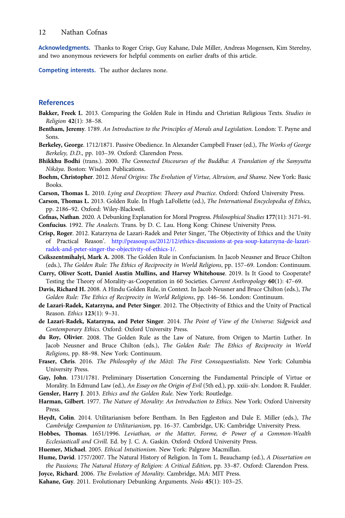<span id="page-11-0"></span>Acknowledgments. Thanks to Roger Crisp, Guy Kahane, Dale Miller, Andreas Mogensen, Kim Sterelny, and two anonymous reviewers for helpful comments on earlier drafts of this article.

Competing interests. The author declares none.

### References

- Bakker, Freek L. 2013. Comparing the Golden Rule in Hindu and Christian Religious Texts. Studies in Religion 42(1): 38–58.
- Bentham, Jeremy. 1789. An Introduction to the Principles of Morals and Legislation. London: T. Payne and Sons.
- Berkeley, George. 1712/1871. Passive Obedience. In Alexander Campbell Fraser (ed.), The Works of George Berkeley, D.D., pp. 103–39. Oxford: Clarendon Press.
- Bhikkhu Bodhi (trans.). 2000. The Connected Discourses of the Buddha: A Translation of the Samyutta Nikāya. Boston: Wisdom Publications.
- Boehm, Christopher. 2012. Moral Origins: The Evolution of Virtue, Altruism, and Shame. New York: Basic Books.
- Carson, Thomas L. 2010. Lying and Deception: Theory and Practice. Oxford: Oxford University Press.
- Carson, Thomas L. 2013. Golden Rule. In Hugh LaFollette (ed.), The International Encyclopedia of Ethics, pp. 2186–92. Oxford: Wiley-Blackwell.
- Cofnas, Nathan. 2020. A Debunking Explanation for Moral Progress. Philosophical Studies 177(11): 3171–91. Confucius. 1992. The Analects. Trans. by D. C. Lau. Hong Kong: Chinese University Press.
- Crisp, Roger. 2012. Katarzyna de Lazari-Radek and Peter Singer, 'The Objectivity of Ethics and the Unity of Practical Reason'. [http://peasoup.us/2012/12/ethics-discussions-at-pea-soup-katarzyna-de-lazari](http://peasoup.us/2012/12/ethics-discussions-at-pea-soup-katarzyna-de-lazari-radek-and-peter-singer-the-objectivity-of-ethics-1/)[radek-and-peter-singer-the-objectivity-of-ethics-1/](http://peasoup.us/2012/12/ethics-discussions-at-pea-soup-katarzyna-de-lazari-radek-and-peter-singer-the-objectivity-of-ethics-1/).
- Csikszentmihalyi, Mark A. 2008. The Golden Rule in Confucianism. In Jacob Neusner and Bruce Chilton (eds.), The Golden Rule: The Ethics of Reciprocity in World Religions, pp. 157–69. London: Continuum.
- Curry, Oliver Scott, Daniel Austin Mullins, and Harvey Whitehouse. 2019. Is It Good to Cooperate? Testing the Theory of Morality-as-Cooperation in 60 Societies. Current Anthropology 60(1): 47–69.
- Davis, Richard H. 2008. A Hindu Golden Rule, in Context. In Jacob Neusner and Bruce Chilton (eds.), The Golden Rule: The Ethics of Reciprocity in World Religions, pp. 146–56. London: Continuum.
- de Lazari-Radek, Katarzyna, and Peter Singer. 2012. The Objectivity of Ethics and the Unity of Practical Reason. Ethics 123(1): 9–31.
- de Lazari-Radek, Katarzyna, and Peter Singer. 2014. The Point of View of the Universe: Sidgwick and Contemporary Ethics. Oxford: Oxford University Press.
- du Roy, Olivier. 2008. The Golden Rule as the Law of Nature, from Origen to Martin Luther. In Jacob Neusner and Bruce Chilton (eds.), The Golden Rule: The Ethics of Reciprocity in World Religions, pp. 88–98. New York: Continuum.
- Fraser, Chris. 2016. The Philosophy of the Mòzĭ: The First Consequentialists. New York: Columbia University Press.
- Gay, John. 1731/1781. Preliminary Dissertation Concerning the Fundamental Principle of Virtue or Morality. In Edmund Law (ed.), An Essay on the Origin of Evil (5th ed.), pp. xxiii–xlv. London: R. Faulder.
- Gensler, Harry J. 2013. Ethics and the Golden Rule. New York: Routledge.
- Harman, Gilbert. 1977. The Nature of Morality: An Introduction to Ethics. New York: Oxford University Press.
- Heydt, Colin. 2014. Utilitarianism before Bentham. In Ben Eggleston and Dale E. Miller (eds.), The Cambridge Companion to Utilitarianism, pp. 16–37. Cambridge, UK: Cambridge University Press.
- Hobbes, Thomas. 1651/1996. Leviathan, or the Matter, Forme, & Power of a Common-Wealth Ecclesiasticall and Civill. Ed. by J. C. A. Gaskin. Oxford: Oxford University Press.
- Huemer, Michael. 2005. Ethical Intuitionism. New York: Palgrave Macmillan.
- Hume, David. 1757/2007. The Natural History of Religion. In Tom L. Beauchamp (ed.), A Dissertation on the Passions; The Natural History of Religion: A Critical Edition, pp. 33–87. Oxford: Clarendon Press.
- Joyce, Richard. 2006. The Evolution of Morality. Cambridge, MA: MIT Press.
- Kahane, Guy. 2011. Evolutionary Debunking Arguments. Noûs 45(1): 103–25.